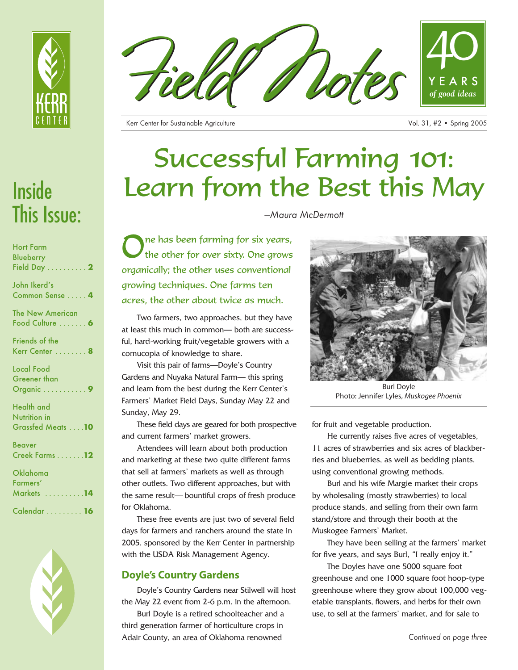



Kerr Center for Sustainable Agriculture Vol. 31, #2 • Spring 2005

## **Inside** This Issue:

| <b>Hort Farm</b>              |  |
|-------------------------------|--|
| <b>Blueberry</b>              |  |
| Field Day $\dots\dots\dots$   |  |
| John Ikerd's                  |  |
| Common Sense  4               |  |
|                               |  |
| <b>The New American</b>       |  |
| Food Culture  6               |  |
| Friends of the                |  |
| Kerr Center $\ldots \ldots$ 8 |  |

Local Food Greener than Organic . . . . . . . . . . . **9**

Health and Nutrition in Grassfed Meats . . . .**10**

| <b>Beaver</b> |                       |  |  |  |  |  |
|---------------|-----------------------|--|--|--|--|--|
|               | <b>Creek Farms 12</b> |  |  |  |  |  |

| Oklahoma    |  |
|-------------|--|
| Farmers'    |  |
| Markets 14  |  |
| Calendar 16 |  |



Successful Farming 101: Learn from the Best this May

*—Maura McDermott*

One has been farming for six years, the other for over sixty. One grows organically; the other uses conventional growing techniques. One farms ten acres, the other about twice as much.

Two farmers, two approaches, but they have at least this much in common— both are successful, hard-working fruit/vegetable growers with a cornucopia of knowledge to share.

Visit this pair of farms—Doyle's Country Gardens and Nuyaka Natural Farm— this spring and learn from the best during the Kerr Center's Farmers' Market Field Days, Sunday May 22 and Sunday, May 29.

These field days are geared for both prospective and current farmers' market growers.

Attendees will learn about both production and marketing at these two quite different farms that sell at farmers' markets as well as through other outlets. Two different approaches, but with the same result— bountiful crops of fresh produce for Oklahoma.

These free events are just two of several field days for farmers and ranchers around the state in 2005, sponsored by the Kerr Center in partnership with the USDA Risk Management Agency.

#### **Doyle's Country Gardens**

Doyle's Country Gardens near Stilwell will host the May 22 event from 2-6 p.m. in the afternoon.

Burl Doyle is a retired schoolteacher and a third generation farmer of horticulture crops in Adair County, an area of Oklahoma renowned



Burl Doyle Photo: Jennifer Lyles, *Muskogee Phoenix*

for fruit and vegetable production.

He currently raises five acres of vegetables, 11 acres of strawberries and six acres of blackberries and blueberries, as well as bedding plants, using conventional growing methods.

Burl and his wife Margie market their crops by wholesaling (mostly strawberries) to local produce stands, and selling from their own farm stand/store and through their booth at the Muskogee Farmers' Market.

They have been selling at the farmers' market for five years, and says Burl, "I really enjoy it."

The Doyles have one 5000 square foot greenhouse and one 1000 square foot hoop-type greenhouse where they grow about 100,000 vegetable transplants, flowers, and herbs for their own use, to sell at the farmers' market, and for sale to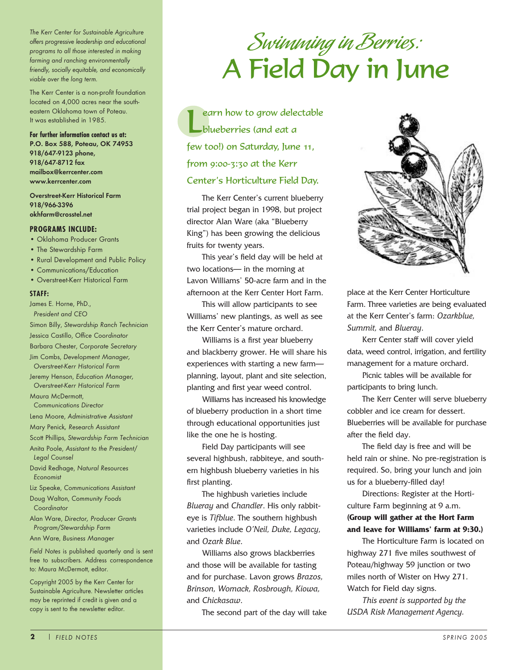*The Kerr Center for Sustainable Agriculture offers progressive leadership and educational programs to all those interested in making farming and ranching environmentally friendly, socially equitable, and economically viable over the long term.* 

The Kerr Center is a non-profit foundation located on 4,000 acres near the southeastern Oklahoma town of Poteau. It was established in 1985.

#### **For further information contact us at:**

**P.O. Box 588, Poteau, OK 74953 918/647-9123 phone, 918/647-8712 fax mailbox@kerrcenter.com www.kerrcenter.com**

**Overstreet-Kerr Historical Farm 918/966-3396 okhfarm@crosstel.net**

#### **PROGRAMS INCLUDE:**

- Oklahoma Producer Grants
- The Stewardship Farm
- Rural Development and Public Policy
- Communications/Education
- Overstreet-Kerr Historical Farm

#### **STAFF:**

James E. Horne, PhD., *President and CEO* Simon Billy, *Stewardship Ranch Technician* Jessica Castillo, *Office Coordinator* Barbara Chester, *Corporate Secretary* Jim Combs, *Development Manager, Overstreet-Kerr Historical Farm* Jeremy Henson, *Education Manager, Overstreet-Kerr Historical Farm* Maura McDermott, *Communications Director* Lena Moore, *Administrative Assistant* Mary Penick*, Research Assistant* Scott Phillips, *Stewardship Farm Technician* Anita Poole, *Assistant to the President/ Legal Counsel* David Redhage, *Natural Resources Economist* Liz Speake, *Communications Assistant* Doug Walton, *Community Foods Coordinator*

Alan Ware, *Director, Producer Grants Program/Stewardship Farm*

Ann Ware, *Business Manager*

*Field Notes* is published quarterly and is sent free to subscribers. Address correspondence to: Maura McDermott, editor.

Copyright 2005 by the Kerr Center for Sustainable Agriculture. Newsletter articles may be reprinted if credit is given and a copy is sent to the newsletter editor.

## Swimming in Berries: A Field Day in June

L earn how to grow delectable blueberries (and eat a few too!) on Saturday, June 11, from 9:00-3:30 at the Kerr Center's Horticulture Field Day.

The Kerr Center's current blueberry trial project began in 1998, but project director Alan Ware (aka "Blueberry King") has been growing the delicious fruits for twenty years.

This year's field day will be held at two locations— in the morning at Lavon Williams' 50-acre farm and in the afternoon at the Kerr Center Hort Farm.

This will allow participants to see Williams' new plantings, as well as see the Kerr Center's mature orchard.

Williams is a first year blueberry and blackberry grower. He will share his experiences with starting a new farm planning, layout, plant and site selection, planting and first year weed control.

Williams has increased his knowledge of blueberry production in a short time through educational opportunities just like the one he is hosting.

Field Day participants will see several highbush, rabbiteye, and southern highbush blueberry varieties in his first planting.

The highbush varieties include *Blueray* and *Chandler*. His only rabbiteye is *Tifblue*. The southern highbush varieties include *O'Neil, Duke, Legacy,* and *Ozark Blue*.

Williams also grows blackberries and those will be available for tasting and for purchase. Lavon grows *Brazos, Brinson, Womack, Rosbrough, Kiowa,* and *Chickasaw*.

The second part of the day will take



place at the Kerr Center Horticulture Farm. Three varieties are being evaluated at the Kerr Center's farm: *Ozarkblue, Summit,* and *Blueray*.

Kerr Center staff will cover yield data, weed control, irrigation, and fertility management for a mature orchard.

Picnic tables will be available for participants to bring lunch.

The Kerr Center will serve blueberry cobbler and ice cream for dessert. Blueberries will be available for purchase after the field day.

The field day is free and will be held rain or shine. No pre-registration is required. So, bring your lunch and join us for a blueberry-filled day!

Directions: Register at the Horticulture Farm beginning at 9 a.m. **(Group will gather at the Hort Farm and leave for Williams' farm at 9:30.)**

The Horticulture Farm is located on highway 271 five miles southwest of Poteau/highway 59 junction or two miles north of Wister on Hwy 271. Watch for Field day signs.

*This event is supported by the USDA Risk Management Agency.*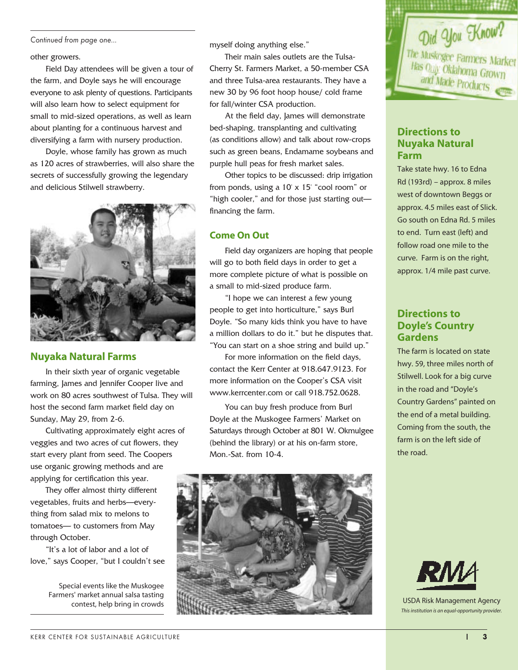*Continued from page one...*

other growers.

Field Day attendees will be given a tour of the farm, and Doyle says he will encourage everyone to ask plenty of questions. Participants will also learn how to select equipment for small to mid-sized operations, as well as learn about planting for a continuous harvest and diversifying a farm with nursery production.

Doyle, whose family has grown as much as 120 acres of strawberries, will also share the secrets of successfully growing the legendary and delicious Stilwell strawberry.



#### **Nuyaka Natural Farms**

In their sixth year of organic vegetable farming, James and Jennifer Cooper live and work on 80 acres southwest of Tulsa. They will host the second farm market field day on Sunday, May 29, from 2-6.

Cultivating approximately eight acres of veggies and two acres of cut flowers, they start every plant from seed. The Coopers use organic growing methods and are applying for certification this year.

They offer almost thirty different vegetables, fruits and herbs—everything from salad mix to melons to tomatoes— to customers from May through October.

"It's a lot of labor and a lot of love," says Cooper, "but I couldn't see

> Special events like the Muskogee Farmers' market annual salsa tasting contest, help bring in crowds

myself doing anything else."

Their main sales outlets are the Tulsa-Cherry St. Farmers Market, a 50-member CSA and three Tulsa-area restaurants. They have a new 30 by 96 foot hoop house/ cold frame for fall/winter CSA production.

At the field day, James will demonstrate bed-shaping, transplanting and cultivating (as conditions allow) and talk about row-crops such as green beans, Endamame soybeans and purple hull peas for fresh market sales.

Other topics to be discussed: drip irrigation from ponds, using a 10' x 15' "cool room" or "high cooler," and for those just starting out financing the farm.

#### **Come On Out**

Field day organizers are hoping that people will go to both field days in order to get a more complete picture of what is possible on a small to mid-sized produce farm.

"I hope we can interest a few young people to get into horticulture," says Burl Doyle. "So many kids think you have to have a million dollars to do it." but he disputes that. "You can start on a shoe string and build up."

For more information on the field days, contact the Kerr Center at 918.647.9123. For more information on the Cooper's CSA visit www.kerrcenter.com or call 918.752.0628.

You can buy fresh produce from Burl Doyle at the Muskogee Farmers' Market on Saturdays through October at 801 W. Okmulgee (behind the library) or at his on-farm store, Mon.-Sat. from 10-4.





#### **Directions to Nuyaka Natural Farm**

Take state hwy. 16 to Edna Rd (193rd) – approx. 8 miles west of downtown Beggs or approx. 4.5 miles east of Slick. Go south on Edna Rd. 5 miles to end. Turn east (left) and follow road one mile to the curve. Farm is on the right, approx. 1/4 mile past curve.

#### **Directions to Doyle's Country Gardens**

The farm is located on state hwy. 59, three miles north of Stilwell. Look for a big curve in the road and "Doyle's Country Gardens" painted on the end of a metal building. Coming from the south, the farm is on the left side of the road.



USDA Risk Management Agency *This institution is an equal-opportunity provider.*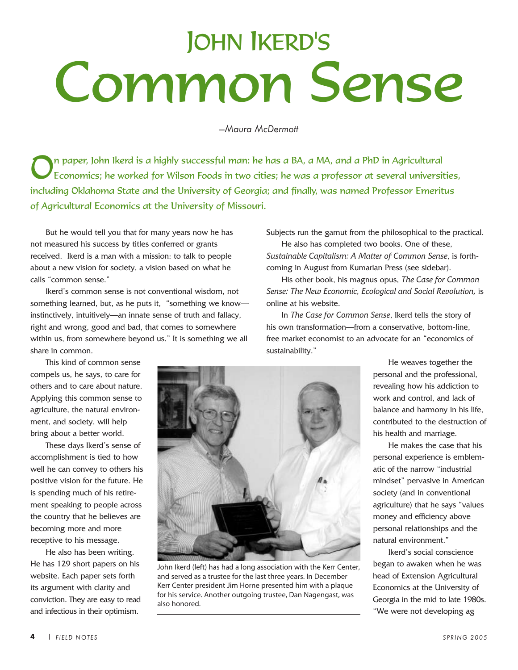# JOHN IKERD'S Common Sense

*—Maura McDermott*

On paper, John Ikerd is a highly successful man: he has a BA, a MA, and a PhD in Agricultural<br>Economics; he worked for Wilson Foods in two cities; he was a professor at several universities, including Oklahoma State and the University of Georgia; and finally, was named Professor Emeritus of Agricultural Economics at the University of Missouri.

But he would tell you that for many years now he has not measured his success by titles conferred or grants received. Ikerd is a man with a mission: to talk to people about a new vision for society, a vision based on what he calls "common sense."

Ikerd's common sense is not conventional wisdom, not something learned, but, as he puts it, "something we know instinctively, intuitively—an innate sense of truth and fallacy, right and wrong, good and bad, that comes to somewhere within us, from somewhere beyond us." It is something we all share in common.

This kind of common sense compels us, he says, to care for others and to care about nature. Applying this common sense to agriculture, the natural environment, and society, will help bring about a better world.

These days Ikerd's sense of accomplishment is tied to how well he can convey to others his positive vision for the future. He is spending much of his retirement speaking to people across the country that he believes are becoming more and more receptive to his message.

He also has been writing. He has 129 short papers on his website. Each paper sets forth its argument with clarity and conviction. They are easy to read and infectious in their optimism.



John Ikerd (left) has had a long association with the Kerr Center, and served as a trustee for the last three years. In December Kerr Center president Jim Horne presented him with a plaque for his service. Another outgoing trustee, Dan Nagengast, was also honored.

Subjects run the gamut from the philosophical to the practical.

He also has completed two books. One of these, *Sustainable Capitalism: A Matter of Common Sense*, is forthcoming in August from Kumarian Press (see sidebar).

His other book, his magnus opus, *The Case for Common Sense: The New Economic, Ecological and Social Revolution,* is online at his website.

In *The Case for Common Sense*, Ikerd tells the story of his own transformation—from a conservative, bottom-line, free market economist to an advocate for an "economics of sustainability."

> He weaves together the personal and the professional, revealing how his addiction to work and control, and lack of balance and harmony in his life, contributed to the destruction of his health and marriage.

He makes the case that his personal experience is emblematic of the narrow "industrial mindset" pervasive in American society (and in conventional agriculture) that he says "values money and efficiency above personal relationships and the natural environment."

Ikerd's social conscience began to awaken when he was head of Extension Agricultural Economics at the University of Georgia in the mid to late 1980s. "We were not developing ag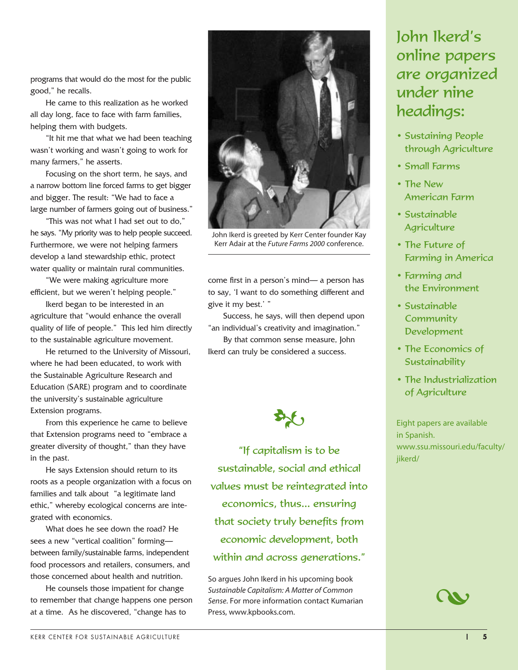programs that would do the most for the public good," he recalls.

He came to this realization as he worked all day long, face to face with farm families, helping them with budgets.

"It hit me that what we had been teaching wasn't working and wasn't going to work for many farmers," he asserts.

Focusing on the short term, he says, and a narrow bottom line forced farms to get bigger and bigger. The result: "We had to face a large number of farmers going out of business."

"This was not what I had set out to do," he says. "My priority was to help people succeed. Furthermore, we were not helping farmers develop a land stewardship ethic, protect water quality or maintain rural communities.

"We were making agriculture more efficient, but we weren't helping people."

Ikerd began to be interested in an agriculture that "would enhance the overall quality of life of people." This led him directly to the sustainable agriculture movement.

He returned to the University of Missouri, where he had been educated, to work with the Sustainable Agriculture Research and Education (SARE) program and to coordinate the university's sustainable agriculture Extension programs.

From this experience he came to believe that Extension programs need to "embrace a greater diversity of thought," than they have in the past.

He says Extension should return to its roots as a people organization with a focus on families and talk about "a legitimate land ethic," whereby ecological concerns are integrated with economics.

What does he see down the road? He sees a new "vertical coalition" forming between family/sustainable farms, independent food processors and retailers, consumers, and those concerned about health and nutrition.

He counsels those impatient for change to remember that change happens one person at a time. As he discovered, "change has to



John Ikerd is greeted by Kerr Center founder Kay Kerr Adair at the *Future Farms 2000* conference.

come first in a person's mind— a person has to say, 'I want to do something different and give it my best.' "

Success, he says, will then depend upon "an individual's creativity and imagination."

By that common sense measure, John Ikerd can truly be considered a success.



"If capitalism is to be sustainable, social and ethical values must be reintegrated into economics, thus... ensuring that society truly benefits from economic development, both within and across generations."

So argues John Ikerd in his upcoming book *Sustainable Capitalism: A Matter of Common Sense*. For more information contact Kumarian Press, www.kpbooks.com.

John Ikerd's online papers are organized under nine headings:

- Sustaining People through Agriculture
- Small Farms
- The New American Farm
- Sustainable **Agriculture**
- The Future of Farming in America
- Farming and the Environment
- Sustainable **Community** Development
- The Economics of **Sustainability**
- The Industrialization of Agriculture

Eight papers are available in Spanish. www.ssu.missouri.edu/faculty/ jikerd/

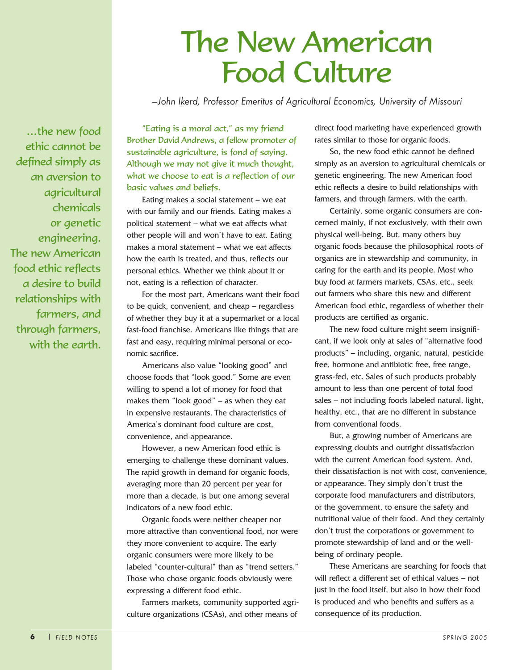## The New American Food Culture

*—John Ikerd, Professor Emeritus of Agricultural Economics, University of Missouri*

...the new food ethic cannot be defined simply as an aversion to agricultural chemicals or genetic engineering. The new American food ethic reflects a desire to build relationships with farmers, and through farmers, with the earth.

"Eating is a moral act," as my friend Brother David Andrews, a fellow promoter of sustainable agriculture, is fond of saying. Although we may not give it much thought, what we choose to eat is a reflection of our basic values and beliefs.

Eating makes a social statement – we eat with our family and our friends. Eating makes a political statement – what we eat affects what other people will and won't have to eat. Eating makes a moral statement – what we eat affects how the earth is treated, and thus, reflects our personal ethics. Whether we think about it or not, eating is a reflection of character.

For the most part, Americans want their food to be quick, convenient, and cheap – regardless of whether they buy it at a supermarket or a local fast-food franchise. Americans like things that are fast and easy, requiring minimal personal or economic sacrifice.

Americans also value "looking good" and choose foods that "look good." Some are even willing to spend a lot of money for food that makes them "look good" – as when they eat in expensive restaurants. The characteristics of America's dominant food culture are cost, convenience, and appearance.

However, a new American food ethic is emerging to challenge these dominant values. The rapid growth in demand for organic foods, averaging more than 20 percent per year for more than a decade, is but one among several indicators of a new food ethic.

Organic foods were neither cheaper nor more attractive than conventional food, nor were they more convenient to acquire. The early organic consumers were more likely to be labeled "counter-cultural" than as "trend setters." Those who chose organic foods obviously were expressing a different food ethic.

Farmers markets, community supported agriculture organizations (CSAs), and other means of

direct food marketing have experienced growth rates similar to those for organic foods.

So, the new food ethic cannot be defined simply as an aversion to agricultural chemicals or genetic engineering. The new American food ethic reflects a desire to build relationships with farmers, and through farmers, with the earth.

Certainly, some organic consumers are concerned mainly, if not exclusively, with their own physical well-being. But, many others buy organic foods because the philosophical roots of organics are in stewardship and community, in caring for the earth and its people. Most who buy food at farmers markets, CSAs, etc., seek out farmers who share this new and different American food ethic, regardless of whether their products are certified as organic.

The new food culture might seem insignificant, if we look only at sales of "alternative food products" – including, organic, natural, pesticide free, hormone and antibiotic free, free range, grass-fed, etc. Sales of such products probably amount to less than one percent of total food sales – not including foods labeled natural, light, healthy, etc., that are no different in substance from conventional foods.

But, a growing number of Americans are expressing doubts and outright dissatisfaction with the current American food system. And, their dissatisfaction is not with cost, convenience, or appearance. They simply don't trust the corporate food manufacturers and distributors, or the government, to ensure the safety and nutritional value of their food. And they certainly don't trust the corporations or government to promote stewardship of land and or the wellbeing of ordinary people.

These Americans are searching for foods that will reflect a different set of ethical values – not just in the food itself, but also in how their food is produced and who benefits and suffers as a consequence of its production.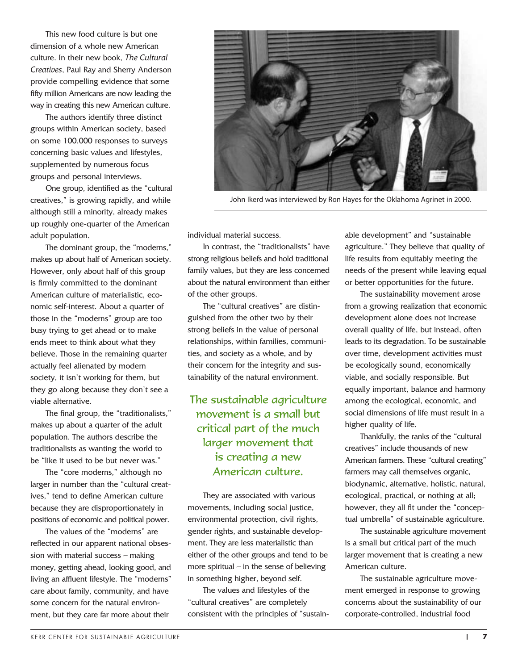This new food culture is but one dimension of a whole new American culture. In their new book, *The Cultural Creatives*, Paul Ray and Sherry Anderson provide compelling evidence that some fifty million Americans are now leading the way in creating this new American culture.

The authors identify three distinct groups within American society, based on some 100,000 responses to surveys concerning basic values and lifestyles, supplemented by numerous focus groups and personal interviews.

One group, identified as the "cultural creatives," is growing rapidly, and while although still a minority, already makes up roughly one-quarter of the American adult population.

The dominant group, the "moderns," makes up about half of American society. However, only about half of this group is firmly committed to the dominant American culture of materialistic, economic self-interest. About a quarter of those in the "moderns" group are too busy trying to get ahead or to make ends meet to think about what they believe. Those in the remaining quarter actually feel alienated by modern society, it isn't working for them, but they go along because they don't see a viable alternative.

The final group, the "traditionalists," makes up about a quarter of the adult population. The authors describe the traditionalists as wanting the world to be "like it used to be but never was."

The "core moderns," although no larger in number than the "cultural creatives," tend to define American culture because they are disproportionately in positions of economic and political power.

The values of the "moderns" are reflected in our apparent national obsession with material success – making money, getting ahead, looking good, and living an affluent lifestyle. The "moderns" care about family, community, and have some concern for the natural environment, but they care far more about their



John Ikerd was interviewed by Ron Hayes for the Oklahoma Agrinet in 2000.

individual material success.

In contrast, the "traditionalists" have strong religious beliefs and hold traditional family values, but they are less concerned about the natural environment than either of the other groups.

The "cultural creatives" are distinguished from the other two by their strong beliefs in the value of personal relationships, within families, communities, and society as a whole, and by their concern for the integrity and sustainability of the natural environment.

### The sustainable agriculture movement is a small but critical part of the much larger movement that is creating a new American culture.

They are associated with various movements, including social justice, environmental protection, civil rights, gender rights, and sustainable development. They are less materialistic than either of the other groups and tend to be more spiritual – in the sense of believing in something higher, beyond self.

The values and lifestyles of the "cultural creatives" are completely consistent with the principles of "sustainable development" and "sustainable agriculture." They believe that quality of life results from equitably meeting the needs of the present while leaving equal or better opportunities for the future.

The sustainability movement arose from a growing realization that economic development alone does not increase overall quality of life, but instead, often leads to its degradation. To be sustainable over time, development activities must be ecologically sound, economically viable, and socially responsible. But equally important, balance and harmony among the ecological, economic, and social dimensions of life must result in a higher quality of life.

Thankfully, the ranks of the "cultural creatives" include thousands of new American farmers. These "cultural creating" farmers may call themselves organic, biodynamic, alternative, holistic, natural, ecological, practical, or nothing at all; however, they all fit under the "conceptual umbrella" of sustainable agriculture.

The sustainable agriculture movement is a small but critical part of the much larger movement that is creating a new American culture.

The sustainable agriculture movement emerged in response to growing concerns about the sustainability of our corporate-controlled, industrial food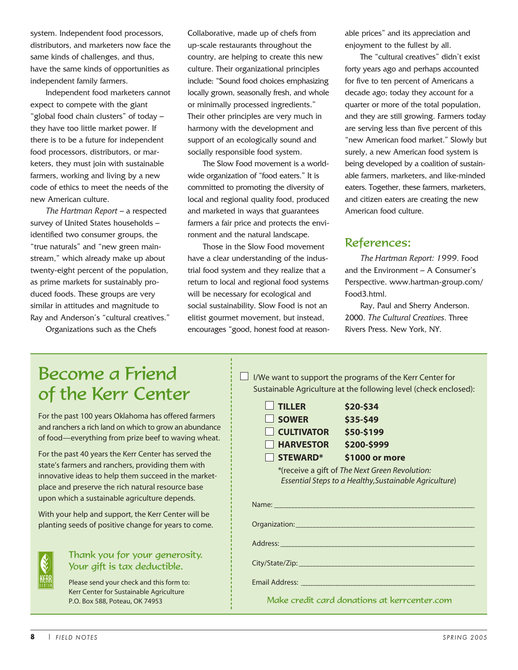system. Independent food processors, distributors, and marketers now face the same kinds of challenges, and thus, have the same kinds of opportunities as independent family farmers.

Independent food marketers cannot expect to compete with the giant "global food chain clusters" of today – they have too little market power. If there is to be a future for independent food processors, distributors, or marketers, they must join with sustainable farmers, working and living by a new code of ethics to meet the needs of the new American culture.

*The Hartman Report* – a respected survey of United States households – identified two consumer groups, the "true naturals" and "new green mainstream," which already make up about twenty-eight percent of the population, as prime markets for sustainably produced foods. These groups are very similar in attitudes and magnitude to Ray and Anderson's "cultural creatives."

Organizations such as the Chefs

Collaborative, made up of chefs from up-scale restaurants throughout the country, are helping to create this new culture. Their organizational principles include: "Sound food choices emphasizing locally grown, seasonally fresh, and whole or minimally processed ingredients." Their other principles are very much in harmony with the development and support of an ecologically sound and socially responsible food system.

The Slow Food movement is a worldwide organization of "food eaters." It is committed to promoting the diversity of local and regional quality food, produced and marketed in ways that guarantees farmers a fair price and protects the environment and the natural landscape.

Those in the Slow Food movement have a clear understanding of the industrial food system and they realize that a return to local and regional food systems will be necessary for ecological and social sustainability. Slow Food is not an elitist gourmet movement, but instead, encourages "good, honest food at reasonable prices" and its appreciation and enjoyment to the fullest by all.

The "cultural creatives" didn't exist forty years ago and perhaps accounted for five to ten percent of Americans a decade ago; today they account for a quarter or more of the total population, and they are still growing. Farmers today are serving less than five percent of this "new American food market." Slowly but surely, a new American food system is being developed by a coalition of sustainable farmers, marketers, and like-minded eaters. Together, these farmers, marketers, and citizen eaters are creating the new American food culture.

### References:

*The Hartman Report: 1999*. Food and the Environment – A Consumer's Perspective. www.hartman-group.com/ Food3.html.

Ray, Paul and Sherry Anderson. 2000. *The Cultural Creatives*. Three Rivers Press. New York, NY.

## Become a Friend of the Kerr Center

For the past 100 years Oklahoma has offered farmers and ranchers a rich land on which to grow an abundance of food—everything from prize beef to waving wheat.

For the past 40 years the Kerr Center has served the state's farmers and ranchers, providing them with innovative ideas to help them succeed in the marketplace and preserve the rich natural resource base upon which a sustainable agriculture depends.

With your help and support, the Kerr Center will be planting seeds of positive change for years to come.

#### Thank you for your generosity. Your gift is tax deductible.

Please send your check and this form to: Kerr Center for Sustainable Agriculture P.O. Box 588, Poteau, OK 74953

I/We want to support the programs of the Kerr Center for Sustainable Agriculture at the following level (check enclosed):

| $\Box$ TILLER     | \$20-\$34   |
|-------------------|-------------|
| $\Box$ SOWER      | \$35-\$49   |
| <b>CULTIVATOR</b> | \$50-\$199  |
| <b>HARVESTOR</b>  | \$200-\$999 |
| STEWARD*          | \$1000 or m |

| )* | \$1000 or more |
|----|----------------|
|    |                |

\*(receive a gift of *The Next Green Revolution: Essential Steps to a Healthy,Sustainable Agriculture*)

| Name: <u>Name: Name: Name: Name: Name: Name: Name: Name: Name: Name: Name: Name: Name: Name: Name: Name: Name: Name: Name: Name: Name: Name: Name: Name: Name: Name: Name: Name: Name: Name: Name: Name: Name: Name: Name: Name:</u> |
|--------------------------------------------------------------------------------------------------------------------------------------------------------------------------------------------------------------------------------------|
|                                                                                                                                                                                                                                      |
|                                                                                                                                                                                                                                      |
|                                                                                                                                                                                                                                      |
| Email Address: North and Second Communication of the Communication of the Communication of the Communication of the Communication of the Communication of the Communication of the Communication of the Communication of the C       |
| Make credit card donations at kerrcenter.com                                                                                                                                                                                         |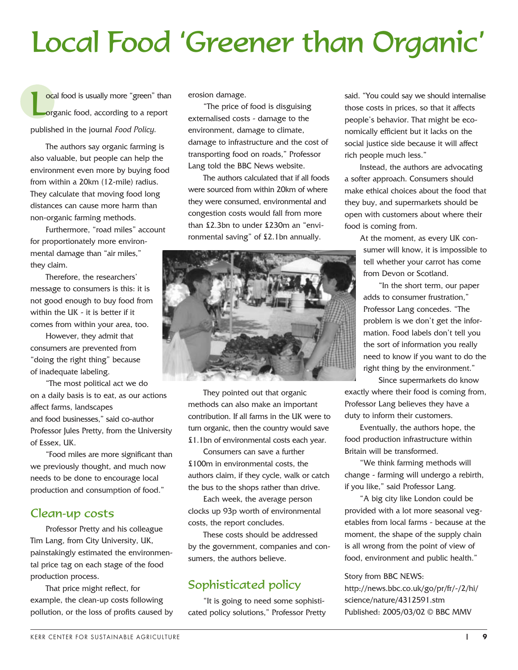## Local Food 'Greener than Organic'

L ocal food is usually more "green" than organic food, according to a report published in the journal *Food Policy.*

The authors say organic farming is also valuable, but people can help the environment even more by buying food from within a 20km (12-mile) radius. They calculate that moving food long distances can cause more harm than non-organic farming methods.

Furthermore, "road miles" account for proportionately more environmental damage than "air miles," they claim.

Therefore, the researchers' message to consumers is this: it is not good enough to buy food from within the UK - it is better if it comes from within your area, too.

However, they admit that consumers are prevented from "doing the right thing" because of inadequate labeling.

"The most political act we do on a daily basis is to eat, as our actions affect farms, landscapes and food businesses," said co-author Professor Jules Pretty, from the University of Essex, UK.

"Food miles are more significant than we previously thought, and much now needs to be done to encourage local production and consumption of food."

### Clean-up costs

Professor Pretty and his colleague Tim Lang, from City University, UK, painstakingly estimated the environmental price tag on each stage of the food production process.

That price might reflect, for example, the clean-up costs following pollution, or the loss of profits caused by erosion damage.

"The price of food is disguising externalised costs - damage to the environment, damage to climate, damage to infrastructure and the cost of transporting food on roads," Professor Lang told the BBC News website.

The authors calculated that if all foods were sourced from within 20km of where they were consumed, environmental and congestion costs would fall from more than £2.3bn to under £230m an "environmental saving" of £2.1bn annually.



They pointed out that organic methods can also make an important contribution. If all farms in the UK were to turn organic, then the country would save £1.1bn of environmental costs each year.

Consumers can save a further £100m in environmental costs, the authors claim, if they cycle, walk or catch the bus to the shops rather than drive.

Each week, the average person clocks up 93p worth of environmental costs, the report concludes.

These costs should be addressed by the government, companies and consumers, the authors believe.

## Sophisticated policy

"It is going to need some sophisticated policy solutions," Professor Pretty said. "You could say we should internalise those costs in prices, so that it affects people's behavior. That might be economically efficient but it lacks on the social justice side because it will affect rich people much less."

Instead, the authors are advocating a softer approach. Consumers should make ethical choices about the food that they buy, and supermarkets should be open with customers about where their food is coming from.

> At the moment, as every UK consumer will know, it is impossible to tell whether your carrot has come from Devon or Scotland.

"In the short term, our paper adds to consumer frustration," Professor Lang concedes. "The problem is we don't get the information. Food labels don't tell you the sort of information you really need to know if you want to do the right thing by the environment."

Since supermarkets do know exactly where their food is coming from, Professor Lang believes they have a duty to inform their customers.

Eventually, the authors hope, the food production infrastructure within Britain will be transformed.

"We think farming methods will change - farming will undergo a rebirth, if you like," said Professor Lang.

"A big city like London could be provided with a lot more seasonal vegetables from local farms - because at the moment, the shape of the supply chain is all wrong from the point of view of food, environment and public health."

Story from BBC NEWS:

http://news.bbc.co.uk/go/pr/fr/-/2/hi/ science/nature/4312591.stm Published: 2005/03/02 © BBC MMV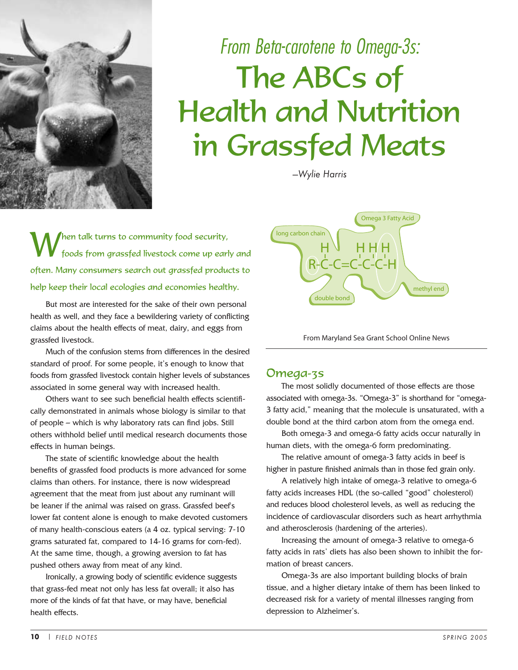

## *From Beta-carotene to Omega-3s:* The ABCs of Health and Nutrition in Grassfed Meats

*—Wylie Harris*

When talk turns to community food security,<br>foods from grassfed livestock come up early and often. Many consumers search out grassfed products to help keep their local ecologies and economies healthy.

But most are interested for the sake of their own personal health as well, and they face a bewildering variety of conflicting claims about the health effects of meat, dairy, and eggs from grassfed livestock.

Much of the confusion stems from differences in the desired standard of proof. For some people, it's enough to know that foods from grassfed livestock contain higher levels of substances associated in some general way with increased health.

Others want to see such beneficial health effects scientifically demonstrated in animals whose biology is similar to that of people – which is why laboratory rats can find jobs. Still others withhold belief until medical research documents those effects in human beings.

The state of scientific knowledge about the health benefits of grassfed food products is more advanced for some claims than others. For instance, there is now widespread agreement that the meat from just about any ruminant will be leaner if the animal was raised on grass. Grassfed beef's lower fat content alone is enough to make devoted customers of many health-conscious eaters (a 4 oz. typical serving: 7-10 grams saturated fat, compared to 14-16 grams for corn-fed). At the same time, though, a growing aversion to fat has pushed others away from meat of any kind.

Ironically, a growing body of scientific evidence suggests that grass-fed meat not only has less fat overall; it also has more of the kinds of fat that have, or may have, beneficial health effects.

long carbon chain Omega 3 Fatty Acid double bond methyl end R-C-C=C-C-C-H H HHH

From Maryland Sea Grant School Online News

#### Omega-3s

The most solidly documented of those effects are those associated with omega-3s. "Omega-3" is shorthand for "omega-3 fatty acid," meaning that the molecule is unsaturated, with a double bond at the third carbon atom from the omega end.

Both omega-3 and omega-6 fatty acids occur naturally in human diets, with the omega-6 form predominating.

The relative amount of omega-3 fatty acids in beef is higher in pasture finished animals than in those fed grain only.

A relatively high intake of omega-3 relative to omega-6 fatty acids increases HDL (the so-called "good" cholesterol) and reduces blood cholesterol levels, as well as reducing the incidence of cardiovascular disorders such as heart arrhythmia and atherosclerosis (hardening of the arteries).

Increasing the amount of omega-3 relative to omega-6 fatty acids in rats' diets has also been shown to inhibit the formation of breast cancers.

Omega-3s are also important building blocks of brain tissue, and a higher dietary intake of them has been linked to decreased risk for a variety of mental illnesses ranging from depression to Alzheimer's.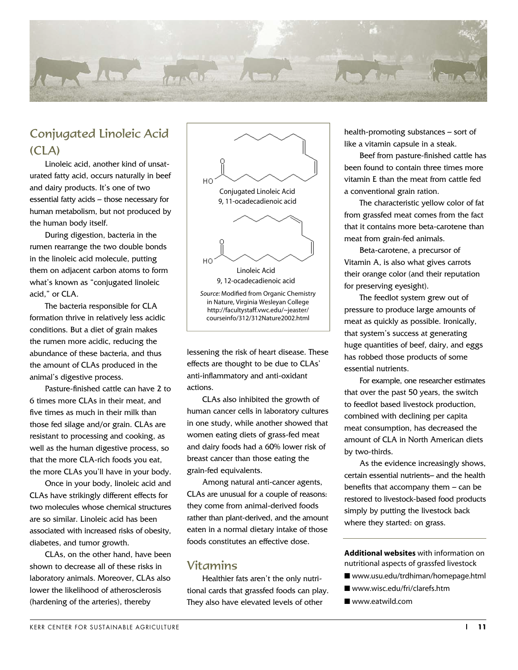

## Conjugated Linoleic Acid (CLA)

Linoleic acid, another kind of unsaturated fatty acid, occurs naturally in beef and dairy products. It's one of two essential fatty acids – those necessary for human metabolism, but not produced by the human body itself.

During digestion, bacteria in the rumen rearrange the two double bonds in the linoleic acid molecule, putting them on adjacent carbon atoms to form what's known as "conjugated linoleic acid," or CLA.

The bacteria responsible for CLA formation thrive in relatively less acidic conditions. But a diet of grain makes the rumen more acidic, reducing the abundance of these bacteria, and thus the amount of CLAs produced in the animal's digestive process.

Pasture-finished cattle can have 2 to 6 times more CLAs in their meat, and five times as much in their milk than those fed silage and/or grain. CLAs are resistant to processing and cooking, as well as the human digestive process, so that the more CLA-rich foods you eat, the more CLAs you'll have in your body.

Once in your body, linoleic acid and CLAs have strikingly different effects for two molecules whose chemical structures are so similar. Linoleic acid has been associated with increased risks of obesity, diabetes, and tumor growth.

CLAs, on the other hand, have been shown to decrease all of these risks in laboratory animals. Moreover, CLAs also lower the likelihood of atherosclerosis (hardening of the arteries), thereby



in Nature, Virginia Wesleyan College http://facultystaff.vwc.edu/~jeaster/ courseinfo/312/312Nature2002.html

lessening the risk of heart disease. These effects are thought to be due to CLAs' anti-inflammatory and anti-oxidant actions.

CLAs also inhibited the growth of human cancer cells in laboratory cultures in one study, while another showed that women eating diets of grass-fed meat and dairy foods had a 60% lower risk of breast cancer than those eating the grain-fed equivalents.

Among natural anti-cancer agents, CLAs are unusual for a couple of reasons: they come from animal-derived foods rather than plant-derived, and the amount eaten in a normal dietary intake of those foods constitutes an effective dose.

### Vitamins

Healthier fats aren't the only nutritional cards that grassfed foods can play. They also have elevated levels of other

health-promoting substances – sort of like a vitamin capsule in a steak.

Beef from pasture-finished cattle has been found to contain three times more vitamin E than the meat from cattle fed a conventional grain ration.

The characteristic yellow color of fat from grassfed meat comes from the fact that it contains more beta-carotene than meat from grain-fed animals.

Beta-carotene, a precursor of Vitamin A, is also what gives carrots their orange color (and their reputation for preserving eyesight).

The feedlot system grew out of pressure to produce large amounts of meat as quickly as possible. Ironically, that system's success at generating huge quantities of beef, dairy, and eggs has robbed those products of some essential nutrients.

For example, one researcher estimates that over the past 50 years, the switch to feedlot based livestock production, combined with declining per capita meat consumption, has decreased the amount of CLA in North American diets by two-thirds.

As the evidence increasingly shows, certain essential nutrients– and the health benefits that accompany them  $-$  can be restored to livestock-based food products simply by putting the livestock back where they started: on grass.

**Additional websites** with information on nutritional aspects of grassfed livestock

- $\blacksquare$  www.usu.edu/trdhiman/homepage.html
- www.wisc.edu/fri/clarefs.htm
- www.eatwild.com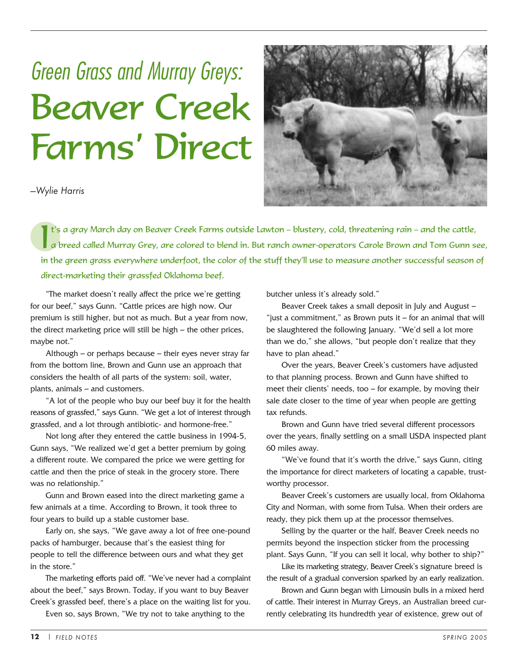## *Green Grass and Murray Greys:* Beaver Creek Farms' Direct



*—Wylie Harris*

t's a gray March day on Beaver Creek Farms outside Lawton – blustery, cold, threatening rain – and the cattle,<br>I a breed called Murray Grey, are colored to blend in. But ranch owner-operators Carole Brown and Tom Gunn see,  $\mathbf t$ 's a gray March day on Beaver Creek Farms outside Lawton – blustery, cold, threatening rain – and the cattle, in the green grass everywhere underfoot, the color of the stuff they'll use to measure another successful season of direct-marketing their grassfed Oklahoma beef.

"The market doesn't really affect the price we're getting for our beef," says Gunn. "Cattle prices are high now. Our premium is still higher, but not as much. But a year from now, the direct marketing price will still be high – the other prices, maybe not."

Although – or perhaps because – their eyes never stray far from the bottom line, Brown and Gunn use an approach that considers the health of all parts of the system: soil, water, plants, animals – and customers.

"A lot of the people who buy our beef buy it for the health reasons of grassfed," says Gunn. "We get a lot of interest through grassfed, and a lot through antibiotic- and hormone-free."

Not long after they entered the cattle business in 1994-5, Gunn says, "We realized we'd get a better premium by going a different route. We compared the price we were getting for cattle and then the price of steak in the grocery store. There was no relationship."

Gunn and Brown eased into the direct marketing game a few animals at a time. According to Brown, it took three to four years to build up a stable customer base.

Early on, she says, "We gave away a lot of free one-pound packs of hamburger, because that's the easiest thing for people to tell the difference between ours and what they get in the store."

The marketing efforts paid off. "We've never had a complaint about the beef," says Brown. Today, if you want to buy Beaver Creek's grassfed beef, there's a place on the waiting list for you.

Even so, says Brown, "We try not to take anything to the

butcher unless it's already sold."

Beaver Creek takes a small deposit in July and August – "just a commitment," as Brown puts it  $-$  for an animal that will be slaughtered the following January. "We'd sell a lot more than we do," she allows, "but people don't realize that they have to plan ahead."

Over the years, Beaver Creek's customers have adjusted to that planning process. Brown and Gunn have shifted to meet their clients' needs, too  $-$  for example, by moving their sale date closer to the time of year when people are getting tax refunds.

Brown and Gunn have tried several different processors over the years, finally settling on a small USDA inspected plant 60 miles away.

"We've found that it's worth the drive," says Gunn, citing the importance for direct marketers of locating a capable, trustworthy processor.

Beaver Creek's customers are usually local, from Oklahoma City and Norman, with some from Tulsa. When their orders are ready, they pick them up at the processor themselves.

Selling by the quarter or the half, Beaver Creek needs no permits beyond the inspection sticker from the processing plant. Says Gunn, "If you can sell it local, why bother to ship?"

Like its marketing strategy, Beaver Creek's signature breed is the result of a gradual conversion sparked by an early realization.

Brown and Gunn began with Limousin bulls in a mixed herd of cattle. Their interest in Murray Greys, an Australian breed currently celebrating its hundredth year of existence, grew out of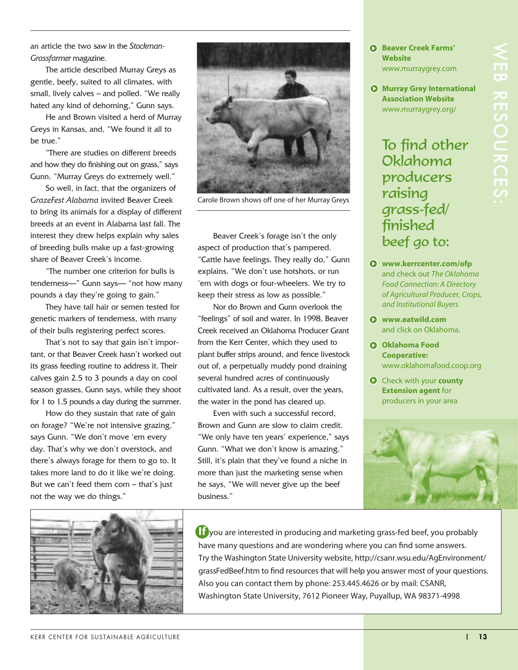an article the two saw in the *Stockman-Grassfarmer* magazine.

The article described Murray Greys as gentle, beefy, suited to all climates, with small, lively calves – and polled. "We really hated any kind of dehorning," Gunn says.

He and Brown visited a herd of Murray Greys in Kansas, and, "We found it all to be true."

"There are studies on different breeds and how they do finishing out on grass," says Gunn. "Murray Greys do extremely well."

So well, in fact, that the organizers of *GrazeFest Alabama* invited Beaver Creek to bring its animals for a display of different breeds at an event in Alabama last fall. The interest they drew helps explain why sales of breeding bulls make up a fast-growing share of Beaver Creek's income.

"The number one criterion for bulls is tenderness—" Gunn says— "not how many pounds a day they're going to gain."

They have tail hair or semen tested for genetic markers of tenderness, with many of their bulls registering perfect scores.

That's not to say that gain isn't important, or that Beaver Creek hasn't worked out its grass feeding routine to address it. Their calves gain 2.5 to 3 pounds a day on cool season grasses, Gunn says, while they shoot for 1 to 1.5 pounds a day during the summer.

How do they sustain that rate of gain on forage? "We're not intensive grazing," says Gunn. "We don't move 'em every day. That's why we don't overstock, and there's always forage for them to go to. It takes more land to do it like we're doing. But we can't feed them corn  $-$  that's just not the way we do things."



Carole Brown shows off one of her Murray Greys

Beaver Creek's forage isn't the only aspect of production that's pampered. "Cattle have feelings. They really do," Gunn explains. "We don't use hotshots, or run 'em with dogs or four-wheelers. We try to keep their stress as low as possible."

Nor do Brown and Gunn overlook the "feelings" of soil and water. In 1998, Beaver Creek received an Oklahoma Producer Grant from the Kerr Center, which they used to plant buffer strips around, and fence livestock out of, a perpetually muddy pond draining several hundred acres of continuously cultivated land. As a result, over the years, the water in the pond has cleared up.

Even with such a successful record, Brown and Gunn are slow to claim credit. "We only have ten years' experience," says Gunn. "What we don't know is amazing." Still, it's plain that they've found a niche in more than just the marketing sense when he says, "We will never give up the beef business."

- **Beaver Creek Farms' Website** www.murraygrey.com
- **Murray Grey International Association Website** www.murraygrey.org/

To find other Oklahoma producers raising grass-fed/ finished beef go to:

- **www.kerrcenter.com/ofp** and check out *The Oklahoma Food Connection: A Directory of Agricultural Producer, Crops, and Institutional Buyers*
- **www.eatwild.com** and click on Oklahoma.
- **O** Oklahoma Food **Cooperative:** www.oklahomafood.coop.org
- Check with your **county Extension agent** for producers in your area





**If** you are interested in producing and marketing grass-fed beef, you probably have many questions and are wondering where you can find some answers. Try the Washington State University website, http://csanr.wsu.edu/AgEnvironment/ grassFedBeef.htm to find resources that will help you answer most of your questions. Also you can contact them by phone: 253.445.4626 or by mail: CSANR, Washington State University, 7612 Pioneer Way, Puyallup, WA 98371-4998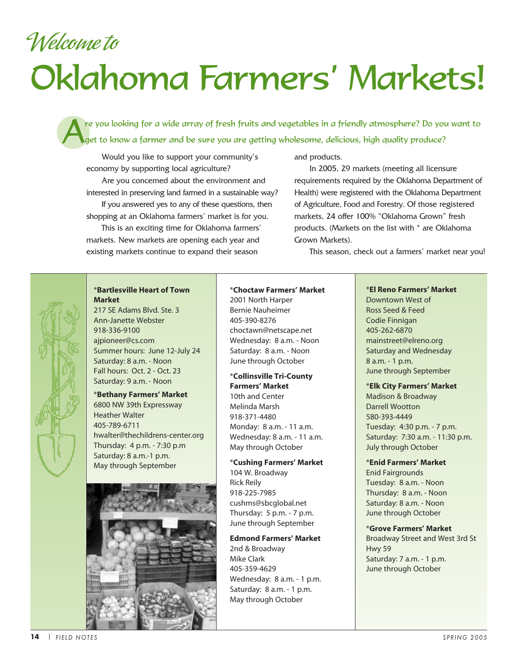## Welcome to Oklahoma Farmers' Markets!

re you looking for a wide array of fresh fruits and vegetables in a friendly atmosphere? Do you want to get to know a farmer and be sure you are getting wholesome, delicious, high quality produce?

Would you like to support your community's economy by supporting local agriculture? Are you concerned about the environment and interested in preserving land farmed in a sustainable way? If you answered yes to any of these questions, then shopping at an Oklahoma farmers' market is for you.

This is an exciting time for Oklahoma farmers' markets. New markets are opening each year and existing markets continue to expand their season

and products.

In 2005, 29 markets (meeting all licensure requirements required by the Oklahoma Department of Health) were registered with the Oklahoma Department of Agriculture, Food and Forestry. Of those registered markets, 24 offer 100% "Oklahoma Grown" fresh products. (Markets on the list with \* are Oklahoma Grown Markets).

This season, check out a farmers' market near you!



#### \***Bartlesville Heart of Town Market**

217 SE Adams Blvd. Ste. 3 Ann-Janette Webster 918-336-9100 ajpioneer@cs.com Summer hours: June 12-July 24 Saturday: 8 a.m. - Noon Fall hours: Oct. 2 - Oct. 23 Saturday: 9 a.m. - Noon

\***Bethany Farmers' Market** 6800 NW 39th Expressway Heather Walter 405-789-6711 hwalter@thechildrens-center.org Thursday: 4 p.m. - 7:30 p.m Saturday: 8 a.m.-1 p.m. May through September



#### \***Choctaw Farmers' Market**

2001 North Harper Bernie Nauheimer 405-390-8276 choctawn@netscape.net Wednesday: 8 a.m. - Noon Saturday: 8 a.m. - Noon June through October

\***Collinsville Tri-County Farmers' Market** 10th and Center Melinda Marsh 918-371-4480 Monday: 8 a.m. - 11 a.m. Wednesday: 8 a.m. - 11 a.m. May through October

\***Cushing Farmers' Market**

104 W. Broadway Rick Reily 918-225-7985 cushms@sbcglobal.net Thursday: 5 p.m. - 7 p.m. June through September

**Edmond Farmers' Market**

2nd & Broadway Mike Clark 405-359-4629 Wednesday: 8 a.m. - 1 p.m. Saturday: 8 a.m. - 1 p.m. May through October

#### \***El Reno Farmers' Market**

Downtown West of Ross Seed & Feed Codie Finnigan 405-262-6870 mainstreet@elreno.org Saturday and Wednesday 8 a.m. - 1 p.m. June through September

#### \***Elk City Farmers' Market**

Madison & Broadway Darrell Wootton 580-393-4449 Tuesday: 4:30 p.m. - 7 p.m. Saturday: 7:30 a.m. - 11:30 p.m. July through October

#### \***Enid Farmers' Market**

Enid Fairgrounds Tuesday: 8 a.m. - Noon Thursday: 8 a.m. - Noon Saturday: 8 a.m. - Noon June through October

#### \***Grove Farmers' Market**

Broadway Street and West 3rd St Hwy 59 Saturday: 7 a.m. - 1 p.m. June through October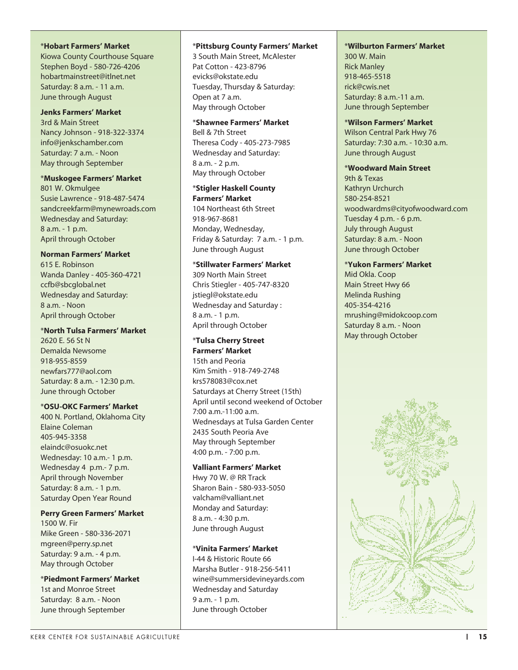#### \***Hobart Farmers' Market**

Kiowa County Courthouse Square Stephen Boyd - 580-726-4206 hobartmainstreet@itlnet.net Saturday: 8 a.m. - 11 a.m. June through August

#### **Jenks Farmers' Market**

3rd & Main Street Nancy Johnson - 918-322-3374 info@jenkschamber.com Saturday: 7 a.m. - Noon May through September

#### \***Muskogee Farmers' Market**

801 W. Okmulgee Susie Lawrence - 918-487-5474 sandcreekfarm@mynewroads.com Wednesday and Saturday: 8 a.m. - 1 p.m. April through October

#### **Norman Farmers' Market**

615 E. Robinson Wanda Danley - 405-360-4721 ccfb@sbcglobal.net Wednesday and Saturday: 8 a.m. - Noon April through October

#### \***North Tulsa Farmers' Market**

2620 E. 56 St N Demalda Newsome 918-955-8559 newfars777@aol.com Saturday: 8 a.m. - 12:30 p.m. June through October

#### \***OSU-OKC Farmers' Market**

400 N. Portland, Oklahoma City Elaine Coleman 405-945-3358 elaindc@osuokc.net Wednesday: 10 a.m.- 1 p.m. Wednesday 4 p.m. - 7 p.m. April through November Saturday: 8 a.m. - 1 p.m. Saturday Open Year Round

#### **Perry Green Farmers' Market**

1500 W. Fir Mike Green - 580-336-2071 mgreen@perry.sp.net Saturday: 9 a.m. - 4 p.m. May through October

\***Piedmont Farmers' Market** 1st and Monroe Street Saturday: 8 a.m. - Noon June through September

#### \***Pittsburg County Farmers' Market**

3 South Main Street, McAlester Pat Cotton - 423-8796 evicks@okstate.edu Tuesday, Thursday & Saturday: Open at 7 a.m. May through October

#### \***Shawnee Farmers' Market**

Bell & 7th Street Theresa Cody - 405-273-7985 Wednesday and Saturday: 8 a.m. - 2 p.m. May through October

#### \***Stigler Haskell County**

**Farmers' Market** 104 Northeast 6th Street 918-967-8681 Monday, Wednesday, Friday & Saturday: 7 a.m. - 1 p.m. June through August

#### \***Stillwater Farmers' Market**

309 North Main Street Chris Stiegler - 405-747-8320 jstiegl@okstate.edu Wednesday and Saturday : 8 a.m. - 1 p.m. April through October

#### \***Tulsa Cherry Street Farmers' Market**

15th and Peoria Kim Smith - 918-749-2748 krs578083@cox.net Saturdays at Cherry Street (15th) April until second weekend of October 7:00 a.m.-11:00 a.m. Wednesdays at Tulsa Garden Center 2435 South Peoria Ave May through September 4:00 p.m. - 7:00 p.m.

#### **Valliant Farmers' Market**

Hwy 70 W. @ RR Track Sharon Bain - 580-933-5050 valcham@valliant.net Monday and Saturday: 8 a.m. - 4:30 p.m. June through August

#### \***Vinita Farmers' Market**

I-44 & Historic Route 66 Marsha Butler - 918-256-5411 wine@summersidevineyards.com Wednesday and Saturday 9 a.m. - 1 p.m. June through October

#### \***Wilburton Farmers' Market**

300 W. Main Rick Manley 918-465-5518 rick@cwis.net Saturday: 8 a.m.-11 a.m. June through September

#### \***Wilson Farmers' Market**

Wilson Central Park Hwy 76 Saturday: 7:30 a.m. - 10:30 a.m. June through August

#### \***Woodward Main Street**

9th & Texas Kathryn Urchurch 580-254-8521 woodwardms@cityofwoodward.com Tuesday 4 p.m. - 6 p.m. July through August Saturday: 8 a.m. - Noon June through October

#### \***Yukon Farmers' Market**

Mid Okla. Coop Main Street Hwy 66 Melinda Rushing 405-354-4216 mrushing@midokcoop.com Saturday 8 a.m. - Noon May through October